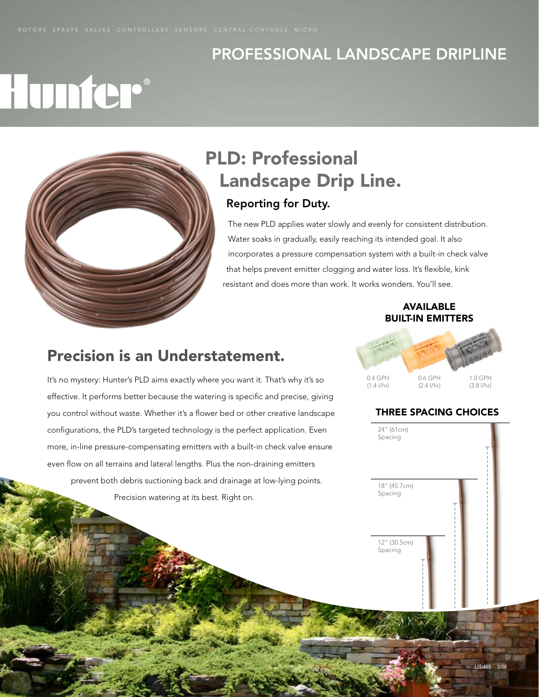### Professional landscape dripline

## Hunter®



## PLD: Professional Landscape Drip Line.

## Reporting for Duty.

The new PLD applies water slowly and evenly for consistent distribution. Water soaks in gradually, easily reaching its intended goal. It also incorporates a pressure compensation system with a built-in check valve that helps prevent emitter clogging and water loss. It's flexible, kink resistant and does more than work. It works wonders. You'll see.

#### **AVAILABLE** built-in emitters

### Precision is an Understatement.

It's no mystery: Hunter's PLD aims exactly where you want it. That's why it's so effective. It performs better because the watering is specific and precise, giving you control without waste. Whether it's a flower bed or other creative landscape configurations, the PLD's targeted technology is the perfect application. Even more, in-line pressure-compensating emitters with a built-in check valve ensure even flow on all terrains and lateral lengths. Plus the non-draining emitters prevent both debris suctioning back and drainage at low-lying points. Precision watering at its best. Right on.



#### three spacing choices

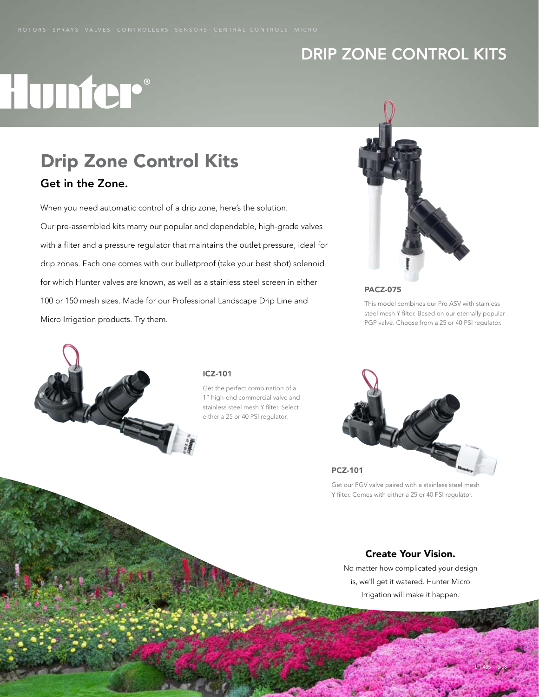### Drip Zone Control Kits

## Hunter®

#### Drip Zone Control Kits Get in the Zone.

When you need automatic control of a drip zone, here's the solution. Our pre-assembled kits marry our popular and dependable, high-grade valves with a filter and a pressure regulator that maintains the outlet pressure, ideal for drip zones. Each one comes with our bulletproof (take your best shot) solenoid for which Hunter valves are known, as well as a stainless steel screen in either 100 or 150 mesh sizes. Made for our Professional Landscape Drip Line and Micro Irrigation products. Try them.



PACZ-075

This model combines our Pro ASV with stainless steel mesh Y filter. Based on our eternally popular PGP valve. Choose from a 25 or 40 PSI regulator.



#### ICZ-101

Get the perfect combination of a 1" high-end commercial valve and stainless steel mesh Y filter. Select either a 25 or 40 PSI regulator.



Get our PGV valve paired with a stainless steel mesh Y filter. Comes with either a 25 or 40 PSI regulator.

#### Create Your Vision.

No matter how complicated your design is, we'll get it watered. Hunter Micro Irrigation will make it happen.

LIT-465 5/08